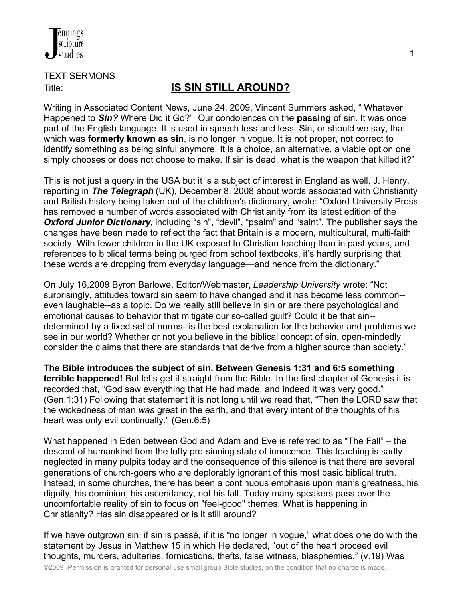

TEXT SERMONS

# Title: **IS SIN STILL AROUND?**

Writing in Associated Content News, June 24, 2009, Vincent Summers asked, " Whatever Happened to *Sin?* Where Did it Go?" Our condolences on the **passing** of sin. It was once part of the English language. It is used in speech less and less. Sin, or should we say, that which was **formerly known as sin**, is no longer in vogue. It is not proper, not correct to identify something as being sinful anymore. It is a choice, an alternative, a viable option one simply chooses or does not choose to make. If sin is dead, what is the weapon that killed it?"

This is not just a query in the USA but it is a subject of interest in England as well. J. Henry, reporting in *The Telegraph* (UK), December 8, 2008 about words associated with Christianity and British history being taken out of the children's dictionary, wrote: "Oxford University Press has removed a number of words associated with Christianity from its latest edition of the **Oxford Junior Dictionary**, including "sin", "devil", "psalm" and "saint". The publisher says the changes have been made to reflect the fact that Britain is a modern, multicultural, multi-faith society. With fewer children in the UK exposed to Christian teaching than in past years, and references to biblical terms being purged from school textbooks, it's hardly surprising that these words are dropping from everyday language—and hence from the dictionary."

On July 16,2009 Byron Barlowe, Editor/Webmaster, *Leadership University* wrote: "Not surprisingly, attitudes toward sin seem to have changed and it has become less common- even laughable--as a topic. Do we really still believe in sin or are there psychological and emotional causes to behavior that mitigate our so-called guilt? Could it be that sin- determined by a fixed set of norms--is the best explanation for the behavior and problems we see in our world? Whether or not you believe in the biblical concept of sin, open-mindedly consider the claims that there are standards that derive from a higher source than society."

**The Bible introduces the subject of sin. Between Genesis 1:31 and 6:5 something terrible happened!** But let's get it straight from the Bible. In the first chapter of Genesis it is recorded that, "God saw everything that He had made, and indeed it was very good." (Gen.1:31) Following that statement it is not long until we read that, "Then the LORD saw that the wickedness of man *was* great in the earth, and that every intent of the thoughts of his heart was only evil continually." (Gen.6:5)

What happened in Eden between God and Adam and Eve is referred to as "The Fall" – the descent of humankind from the lofty pre-sinning state of innocence. This teaching is sadly neglected in many pulpits today and the consequence of this silence is that there are several generations of church-goers who are deplorably ignorant of this most basic biblical truth. Instead, in some churches, there has been a continuous emphasis upon man's greatness, his dignity, his dominion, his ascendancy, not his fall. Today many speakers pass over the uncomfortable reality of sin to focus on "feel-good" themes. What is happening in Christianity? Has sin disappeared or is it still around?

If we have outgrown sin, if sin is passé, if it is "no longer in vogue," what does one do with the statement by Jesus in Matthew 15 in which He declared, "out of the heart proceed evil thoughts, murders, adulteries, fornications, thefts, false witness, blasphemies." (v.19) Was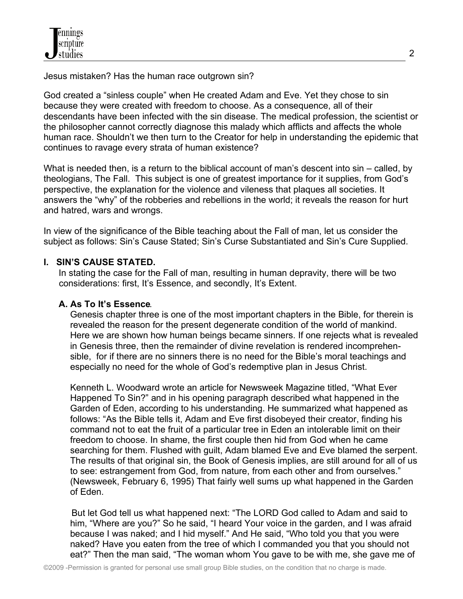Jesus mistaken? Has the human race outgrown sin?

God created a "sinless couple" when He created Adam and Eve. Yet they chose to sin because they were created with freedom to choose. As a consequence, all of their descendants have been infected with the sin disease. The medical profession, the scientist or the philosopher cannot correctly diagnose this malady which afflicts and affects the whole human race. Shouldn't we then turn to the Creator for help in understanding the epidemic that continues to ravage every strata of human existence?

What is needed then, is a return to the biblical account of man's descent into sin – called, by theologians, The Fall. This subject is one of greatest importance for it supplies, from God's perspective, the explanation for the violence and vileness that plaques all societies. It answers the "why" of the robberies and rebellions in the world; it reveals the reason for hurt and hatred, wars and wrongs.

In view of the significance of the Bible teaching about the Fall of man, let us consider the subject as follows: Sin's Cause Stated; Sin's Curse Substantiated and Sin's Cure Supplied.

# **I. SIN'S CAUSE STATED.**

In stating the case for the Fall of man, resulting in human depravity, there will be two considerations: first, It's Essence, and secondly, It's Extent.

## **A. As To It's Essence**.

Genesis chapter three is one of the most important chapters in the Bible, for therein is revealed the reason for the present degenerate condition of the world of mankind. Here we are shown how human beings became sinners. If one rejects what is revealed in Genesis three, then the remainder of divine revelation is rendered incomprehensible, for if there are no sinners there is no need for the Bible's moral teachings and especially no need for the whole of God's redemptive plan in Jesus Christ.

Kenneth L. Woodward wrote an article for Newsweek Magazine titled, "What Ever Happened To Sin?" and in his opening paragraph described what happened in the Garden of Eden, according to his understanding. He summarized what happened as follows: "As the Bible tells it, Adam and Eve first disobeyed their creator, finding his command not to eat the fruit of a particular tree in Eden an intolerable limit on their freedom to choose. In shame, the first couple then hid from God when he came searching for them. Flushed with guilt, Adam blamed Eve and Eve blamed the serpent. The results of that original sin, the Book of Genesis implies, are still around for all of us to see: estrangement from God, from nature, from each other and from ourselves." (Newsweek, February 6, 1995) That fairly well sums up what happened in the Garden of Eden.

 But let God tell us what happened next: "The LORD God called to Adam and said to him, "Where are you?" So he said, "I heard Your voice in the garden, and I was afraid because I was naked; and I hid myself." And He said, "Who told you that you were naked? Have you eaten from the tree of which I commanded you that you should not eat?" Then the man said, "The woman whom You gave to be with me, she gave me of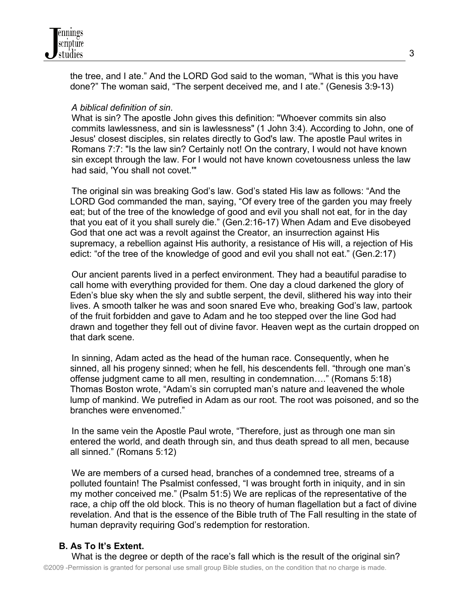

the tree, and I ate." And the LORD God said to the woman, "What is this you have done?" The woman said, "The serpent deceived me, and I ate." (Genesis 3:9-13)

#### *A biblical definition of sin*.

 What is sin? The apostle John gives this definition: "Whoever commits sin also commits lawlessness, and sin is lawlessness" (1 John 3:4). According to John, one of Jesus' closest disciples, sin relates directly to God's law. The apostle Paul writes in Romans 7:7: "Is the law sin? Certainly not! On the contrary, I would not have known sin except through the law. For I would not have known covetousness unless the law had said, 'You shall not covet.'"

 The original sin was breaking God's law. God's stated His law as follows: "And the LORD God commanded the man, saying, "Of every tree of the garden you may freely eat; but of the tree of the knowledge of good and evil you shall not eat, for in the day that you eat of it you shall surely die." (Gen.2:16-17) When Adam and Eve disobeyed God that one act was a revolt against the Creator, an insurrection against His supremacy, a rebellion against His authority, a resistance of His will, a rejection of His edict: "of the tree of the knowledge of good and evil you shall not eat." (Gen.2:17)

 Our ancient parents lived in a perfect environment. They had a beautiful paradise to call home with everything provided for them. One day a cloud darkened the glory of Eden's blue sky when the sly and subtle serpent, the devil, slithered his way into their lives. A smooth talker he was and soon snared Eve who, breaking God's law, partook of the fruit forbidden and gave to Adam and he too stepped over the line God had drawn and together they fell out of divine favor. Heaven wept as the curtain dropped on that dark scene.

 In sinning, Adam acted as the head of the human race. Consequently, when he sinned, all his progeny sinned; when he fell, his descendents fell. "through one man's offense judgment came to all men, resulting in condemnation…." (Romans 5:18) Thomas Boston wrote, "Adam's sin corrupted man's nature and leavened the whole lump of mankind. We putrefied in Adam as our root. The root was poisoned, and so the branches were envenomed."

 In the same vein the Apostle Paul wrote, "Therefore, just as through one man sin entered the world, and death through sin, and thus death spread to all men, because all sinned." (Romans 5:12)

 We are members of a cursed head, branches of a condemned tree, streams of a polluted fountain! The Psalmist confessed, "I was brought forth in iniquity, and in sin my mother conceived me." (Psalm 51:5) We are replicas of the representative of the race, a chip off the old block. This is no theory of human flagellation but a fact of divine revelation. And that is the essence of the Bible truth of The Fall resulting in the state of human depravity requiring God's redemption for restoration.

#### **B. As To It's Extent.**

What is the degree or depth of the race's fall which is the result of the original sin?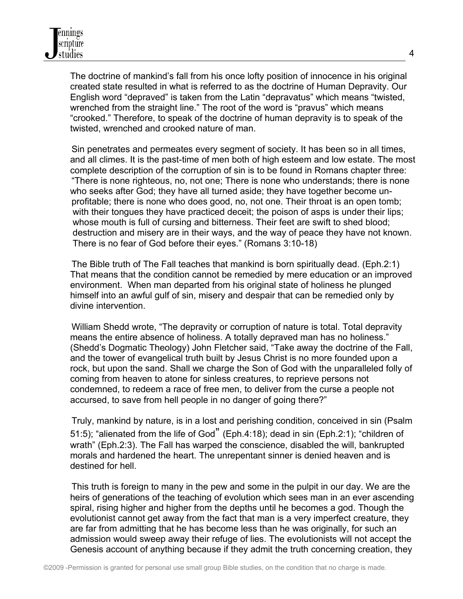The doctrine of mankind's fall from his once lofty position of innocence in his original created state resulted in what is referred to as the doctrine of Human Depravity. Our English word "depraved" is taken from the Latin "depravatus" which means "twisted, wrenched from the straight line." The root of the word is "pravus" which means "crooked." Therefore, to speak of the doctrine of human depravity is to speak of the twisted, wrenched and crooked nature of man.

 Sin penetrates and permeates every segment of society. It has been so in all times, and all climes. It is the past-time of men both of high esteem and low estate. The most complete description of the corruption of sin is to be found in Romans chapter three: "There is none righteous, no, not one; There is none who understands; there is none who seeks after God; they have all turned aside; they have together become un profitable; there is none who does good, no, not one. Their throat is an open tomb; with their tongues they have practiced deceit; the poison of asps is under their lips; whose mouth is full of cursing and bitterness. Their feet are swift to shed blood; destruction and misery are in their ways, and the way of peace they have not known. There is no fear of God before their eyes." (Romans 3:10-18)

 The Bible truth of The Fall teaches that mankind is born spiritually dead. (Eph.2:1) That means that the condition cannot be remedied by mere education or an improved environment. When man departed from his original state of holiness he plunged himself into an awful gulf of sin, misery and despair that can be remedied only by divine intervention.

 William Shedd wrote, "The depravity or corruption of nature is total. Total depravity means the entire absence of holiness. A totally depraved man has no holiness." (Shedd's Dogmatic Theology) John Fletcher said, "Take away the doctrine of the Fall, and the tower of evangelical truth built by Jesus Christ is no more founded upon a rock, but upon the sand. Shall we charge the Son of God with the unparalleled folly of coming from heaven to atone for sinless creatures, to reprieve persons not condemned, to redeem a race of free men, to deliver from the curse a people not accursed, to save from hell people in no danger of going there?"

 Truly, mankind by nature, is in a lost and perishing condition, conceived in sin (Psalm 51:5); "alienated from the life of God" (Eph.4:18); dead in sin (Eph.2:1); "children of wrath" (Eph.2:3). The Fall has warped the conscience, disabled the will, bankrupted morals and hardened the heart. The unrepentant sinner is denied heaven and is destined for hell.

 This truth is foreign to many in the pew and some in the pulpit in our day. We are the heirs of generations of the teaching of evolution which sees man in an ever ascending spiral, rising higher and higher from the depths until he becomes a god. Though the evolutionist cannot get away from the fact that man is a very imperfect creature, they are far from admitting that he has become less than he was originally, for such an admission would sweep away their refuge of lies. The evolutionists will not accept the Genesis account of anything because if they admit the truth concerning creation, they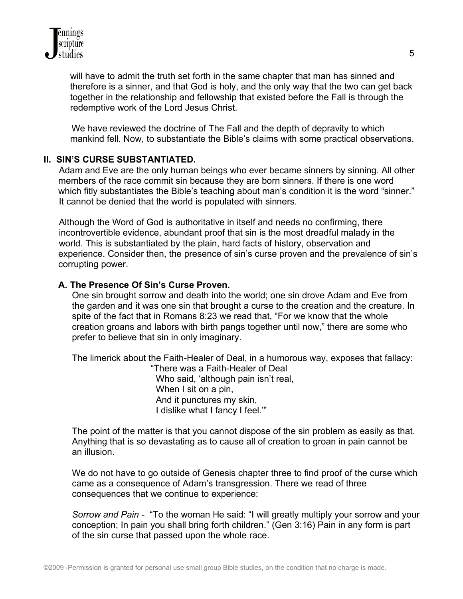will have to admit the truth set forth in the same chapter that man has sinned and therefore is a sinner, and that God is holy, and the only way that the two can get back together in the relationship and fellowship that existed before the Fall is through the redemptive work of the Lord Jesus Christ.

 We have reviewed the doctrine of The Fall and the depth of depravity to which mankind fell. Now, to substantiate the Bible's claims with some practical observations.

#### **II. SIN'S CURSE SUBSTANTIATED.**

 Adam and Eve are the only human beings who ever became sinners by sinning. All other members of the race commit sin because they are born sinners. If there is one word which fitly substantiates the Bible's teaching about man's condition it is the word "sinner." It cannot be denied that the world is populated with sinners.

 Although the Word of God is authoritative in itself and needs no confirming, there incontrovertible evidence, abundant proof that sin is the most dreadful malady in the world. This is substantiated by the plain, hard facts of history, observation and experience. Consider then, the presence of sin's curse proven and the prevalence of sin's corrupting power.

#### **A. The Presence Of Sin's Curse Proven.**

One sin brought sorrow and death into the world; one sin drove Adam and Eve from the garden and it was one sin that brought a curse to the creation and the creature. In spite of the fact that in Romans 8:23 we read that, "For we know that the whole creation groans and labors with birth pangs together until now," there are some who prefer to believe that sin in only imaginary.

The limerick about the Faith-Healer of Deal, in a humorous way, exposes that fallacy:

 "There was a Faith-Healer of Deal Who said, 'although pain isn't real, When I sit on a pin, And it punctures my skin, I dislike what I fancy I feel.'"

The point of the matter is that you cannot dispose of the sin problem as easily as that. Anything that is so devastating as to cause all of creation to groan in pain cannot be an illusion.

We do not have to go outside of Genesis chapter three to find proof of the curse which came as a consequence of Adam's transgression. There we read of three consequences that we continue to experience:

*Sorrow and Pain* - "To the woman He said: "I will greatly multiply your sorrow and your conception; In pain you shall bring forth children." (Gen 3:16) Pain in any form is part of the sin curse that passed upon the whole race.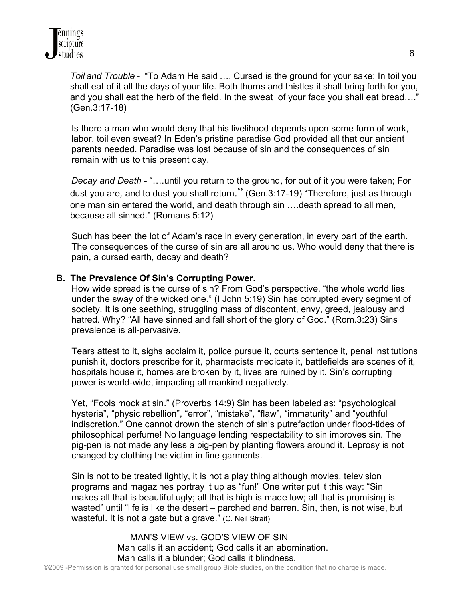*Toil and Trouble* - "To Adam He said …. Cursed is the ground for your sake; In toil you shall eat of it all the days of your life. Both thorns and thistles it shall bring forth for you, and you shall eat the herb of the field. In the sweat of your face you shall eat bread…." (Gen.3:17-18)

 Is there a man who would deny that his livelihood depends upon some form of work, labor, toil even sweat? In Eden's pristine paradise God provided all that our ancient parents needed. Paradise was lost because of sin and the consequences of sin remain with us to this present day.

 *Decay and Death* - "….until you return to the ground, for out of it you were taken; For dust you are*,* and to dust you shall return." (Gen.3:17-19) "Therefore, just as through one man sin entered the world, and death through sin ….death spread to all men, because all sinned." (Romans 5:12)

 Such has been the lot of Adam's race in every generation, in every part of the earth. The consequences of the curse of sin are all around us. Who would deny that there is pain, a cursed earth, decay and death?

## **B. The Prevalence Of Sin's Corrupting Power.**

 How wide spread is the curse of sin? From God's perspective, "the whole world lies under the sway of the wicked one." (I John 5:19) Sin has corrupted every segment of society. It is one seething, struggling mass of discontent, envy, greed, jealousy and hatred. Why? "All have sinned and fall short of the glory of God." (Rom.3:23) Sins prevalence is all-pervasive.

 Tears attest to it, sighs acclaim it, police pursue it, courts sentence it, penal institutions punish it, doctors prescribe for it, pharmacists medicate it, battlefields are scenes of it, hospitals house it, homes are broken by it, lives are ruined by it. Sin's corrupting power is world-wide, impacting all mankind negatively.

 Yet, "Fools mock at sin." (Proverbs 14:9) Sin has been labeled as: "psychological hysteria", "physic rebellion", "error", "mistake", "flaw", "immaturity" and "youthful indiscretion." One cannot drown the stench of sin's putrefaction under flood-tides of philosophical perfume! No language lending respectability to sin improves sin. The pig-pen is not made any less a pig-pen by planting flowers around it. Leprosy is not changed by clothing the victim in fine garments.

 Sin is not to be treated lightly, it is not a play thing although movies, television programs and magazines portray it up as "fun!" One writer put it this way: "Sin makes all that is beautiful ugly; all that is high is made low; all that is promising is wasted" until "life is like the desert – parched and barren. Sin, then, is not wise, but wasteful. It is not a gate but a grave." (C. Neil Strait)

 MAN'S VIEW vs. GOD'S VIEW OF SIN Man calls it an accident; God calls it an abomination. Man calls it a blunder; God calls it blindness.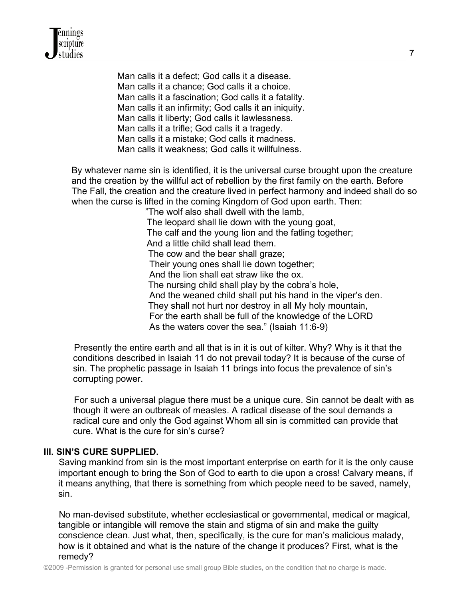

 Man calls it a defect; God calls it a disease. Man calls it a chance; God calls it a choice. Man calls it a fascination; God calls it a fatality. Man calls it an infirmity; God calls it an iniquity. Man calls it liberty; God calls it lawlessness. Man calls it a trifle; God calls it a tragedy. Man calls it a mistake; God calls it madness. Man calls it weakness; God calls it willfulness.

 By whatever name sin is identified, it is the universal curse brought upon the creature and the creation by the willful act of rebellion by the first family on the earth. Before The Fall, the creation and the creature lived in perfect harmony and indeed shall do so when the curse is lifted in the coming Kingdom of God upon earth. Then:

 "The wolf also shall dwell with the lamb, The leopard shall lie down with the young goat, The calf and the young lion and the fatling together; And a little child shall lead them. The cow and the bear shall graze; Their young ones shall lie down together; And the lion shall eat straw like the ox. The nursing child shall play by the cobra's hole, And the weaned child shall put his hand in the viper's den. They shall not hurt nor destroy in all My holy mountain, For the earth shall be full of the knowledge of the LORD As the waters cover the sea." (Isaiah 11:6-9)

 Presently the entire earth and all that is in it is out of kilter. Why? Why is it that the conditions described in Isaiah 11 do not prevail today? It is because of the curse of sin. The prophetic passage in Isaiah 11 brings into focus the prevalence of sin's corrupting power.

 For such a universal plague there must be a unique cure. Sin cannot be dealt with as though it were an outbreak of measles. A radical disease of the soul demands a radical cure and only the God against Whom all sin is committed can provide that cure. What is the cure for sin's curse?

#### **III. SIN'S CURE SUPPLIED.**

Saving mankind from sin is the most important enterprise on earth for it is the only cause important enough to bring the Son of God to earth to die upon a cross! Calvary means, if it means anything, that there is something from which people need to be saved, namely, sin.

 No man-devised substitute, whether ecclesiastical or governmental, medical or magical, tangible or intangible will remove the stain and stigma of sin and make the guilty conscience clean. Just what, then, specifically, is the cure for man's malicious malady, how is it obtained and what is the nature of the change it produces? First, what is the remedy?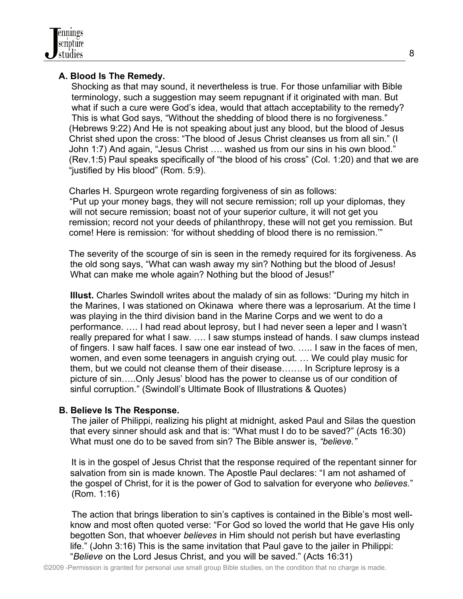# **A. Blood Is The Remedy.**

Shocking as that may sound, it nevertheless is true. For those unfamiliar with Bible terminology, such a suggestion may seem repugnant if it originated with man. But what if such a cure were God's idea, would that attach acceptability to the remedy? This is what God says, "Without the shedding of blood there is no forgiveness." (Hebrews 9:22) And He is not speaking about just any blood, but the blood of Jesus Christ shed upon the cross: "The blood of Jesus Christ cleanses us from all sin." (I John 1:7) And again, "Jesus Christ …. washed us from our sins in his own blood." (Rev.1:5) Paul speaks specifically of "the blood of his cross" (Col. 1:20) and that we are "justified by His blood" (Rom. 5:9).

 Charles H. Spurgeon wrote regarding forgiveness of sin as follows: "Put up your money bags, they will not secure remission; roll up your diplomas, they will not secure remission; boast not of your superior culture, it will not get you remission; record not your deeds of philanthropy, these will not get you remission. But come! Here is remission: 'for without shedding of blood there is no remission.'"

 The severity of the scourge of sin is seen in the remedy required for its forgiveness. As the old song says, "What can wash away my sin? Nothing but the blood of Jesus! What can make me whole again? Nothing but the blood of Jesus!"

**Illust.** Charles Swindoll writes about the malady of sin as follows: "During my hitch in the Marines, I was stationed on Okinawa where there was a leprosarium. At the time I was playing in the third division band in the Marine Corps and we went to do a performance. …. I had read about leprosy, but I had never seen a leper and I wasn't really prepared for what I saw. …. I saw stumps instead of hands. I saw clumps instead of fingers. I saw half faces. I saw one ear instead of two. ….. I saw in the faces of men, women, and even some teenagers in anguish crying out. … We could play music for them, but we could not cleanse them of their disease……. In Scripture leprosy is a picture of sin…..Only Jesus' blood has the power to cleanse us of our condition of sinful corruption." (Swindoll's Ultimate Book of Illustrations & Quotes)

# **B. Believe Is The Response.**

The jailer of Philippi, realizing his plight at midnight, asked Paul and Silas the question that every sinner should ask and that is: "What must I do to be saved?" (Acts 16:30) What must one do to be saved from sin? The Bible answer is, *"believe."*

It is in the gospel of Jesus Christ that the response required of the repentant sinner for salvation from sin is made known. The Apostle Paul declares: "I am not ashamed of the gospel of Christ, for it is the power of God to salvation for everyone who *believes.*" (Rom. 1:16)

 The action that brings liberation to sin's captives is contained in the Bible's most wellknow and most often quoted verse: "For God so loved the world that He gave His only begotten Son, that whoever *believes* in Him should not perish but have everlasting life." (John 3:16) This is the same invitation that Paul gave to the jailer in Philippi: "*Believe* on the Lord Jesus Christ, and you will be saved." (Acts 16:31)